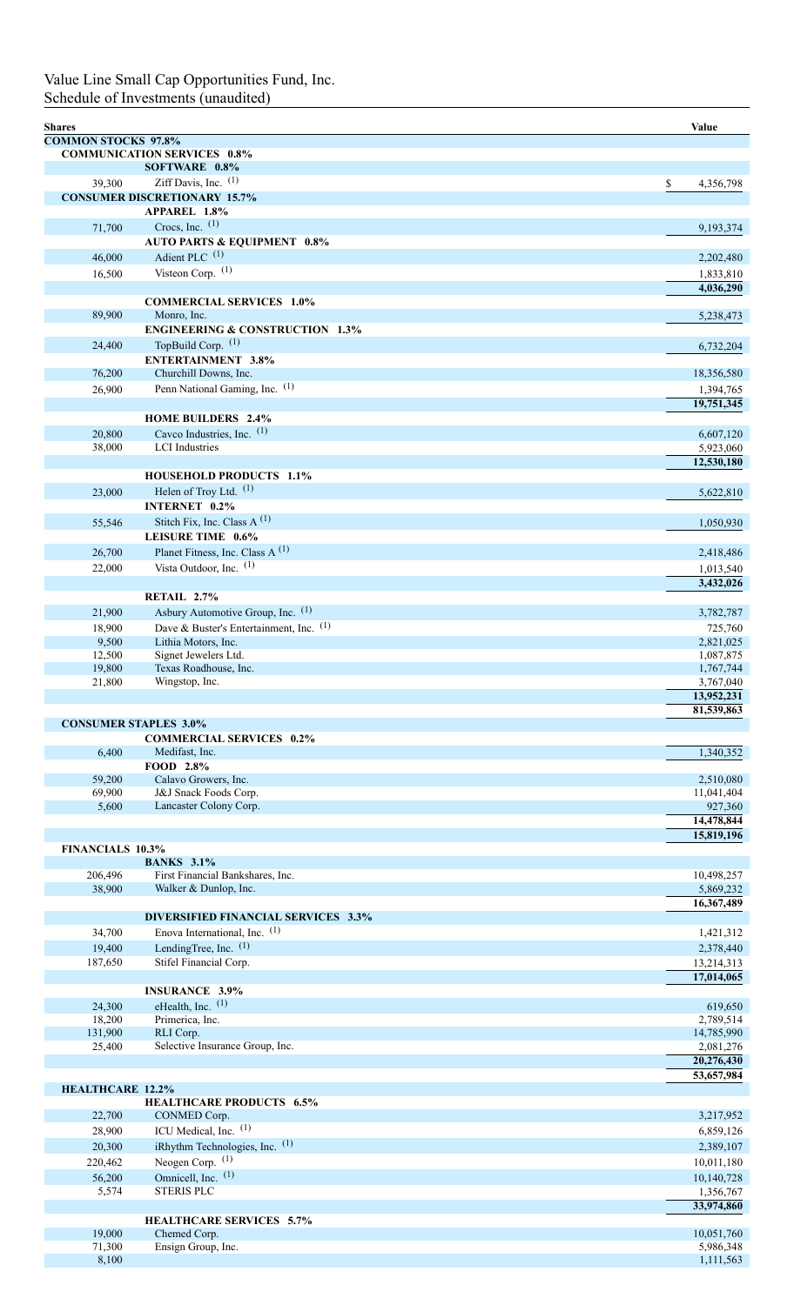## Value Line Small Cap Opportunities Fund, Inc. Schedule of Investments (unaudited)

| <b>Shares</b> |                            |                                                                          | Value                    |
|---------------|----------------------------|--------------------------------------------------------------------------|--------------------------|
|               | <b>COMMON STOCKS 97.8%</b> |                                                                          |                          |
|               |                            | <b>COMMUNICATION SERVICES 0.8%</b>                                       |                          |
|               | 39,300                     | SOFTWARE 0.8%<br>Ziff Davis, Inc. $(1)$                                  |                          |
|               |                            | <b>CONSUMER DISCRETIONARY 15.7%</b>                                      | \$<br>4,356,798          |
|               |                            | <b>APPAREL 1.8%</b>                                                      |                          |
|               | 71,700                     | Crocs, Inc. $(1)$                                                        | 9,193,374                |
|               |                            | <b>AUTO PARTS &amp; EQUIPMENT 0.8%</b>                                   |                          |
|               | 46,000                     | Adient PLC $(1)$                                                         | 2,202,480                |
|               | 16,500                     | Visteon Corp. $(1)$                                                      | 1,833,810                |
|               |                            |                                                                          | 4,036,290                |
|               | 89,900                     | <b>COMMERCIAL SERVICES 1.0%</b><br>Monro, Inc.                           |                          |
|               |                            | <b>ENGINEERING &amp; CONSTRUCTION 1.3%</b>                               | 5,238,473                |
|               | 24,400                     | TopBuild Corp. (1)                                                       | 6,732,204                |
|               |                            | <b>ENTERTAINMENT 3.8%</b>                                                |                          |
|               | 76,200                     | Churchill Downs, Inc.                                                    | 18,356,580               |
|               | 26,900                     | Penn National Gaming, Inc. (1)                                           | 1,394,765                |
|               |                            |                                                                          | 19,751,345               |
|               | 20,800                     | <b>HOME BUILDERS 2.4%</b><br>Cavco Industries, Inc. $(1)$                |                          |
|               | 38,000                     | <b>LCI</b> Industries                                                    | 6,607,120<br>5,923,060   |
|               |                            |                                                                          | 12,530,180               |
|               |                            | <b>HOUSEHOLD PRODUCTS 1.1%</b>                                           |                          |
|               | 23,000                     | Helen of Troy Ltd. $(1)$                                                 | 5,622,810                |
|               |                            | INTERNET 0.2%                                                            |                          |
|               | 55,546                     | Stitch Fix, Inc. Class A $(1)$                                           | 1,050,930                |
|               |                            | <b>LEISURE TIME 0.6%</b>                                                 |                          |
|               | 26,700                     | Planet Fitness, Inc. Class A <sup>(1)</sup><br>Vista Outdoor, Inc. $(1)$ | 2,418,486                |
|               | 22,000                     |                                                                          | 1,013,540<br>3,432,026   |
|               |                            | RETAIL 2.7%                                                              |                          |
|               | 21,900                     | Asbury Automotive Group, Inc. (1)                                        | 3,782,787                |
|               | 18,900                     | Dave & Buster's Entertainment, Inc. $(1)$                                | 725,760                  |
|               | 9,500                      | Lithia Motors, Inc.                                                      | 2,821,025                |
|               | 12,500<br>19,800           | Signet Jewelers Ltd.                                                     | 1,087,875                |
|               | 21,800                     | Texas Roadhouse, Inc.<br>Wingstop, Inc.                                  | 1,767,744<br>3,767,040   |
|               |                            |                                                                          | 13,952,231               |
|               |                            |                                                                          | 81,539,863               |
|               |                            | <b>CONSUMER STAPLES 3.0%</b>                                             |                          |
|               | 6,400                      | <b>COMMERCIAL SERVICES 0.2%</b><br>Medifast, Inc.                        | 1,340,352                |
|               |                            | FOOD 2.8%                                                                |                          |
|               | 59,200                     | Calavo Growers, Inc.                                                     | 2,510,080                |
|               | 69,900                     | J&J Snack Foods Corp.                                                    | 11,041,404               |
|               | 5,600                      | Lancaster Colony Corp.                                                   | 927,360                  |
|               |                            |                                                                          | 14,478,844<br>15,819,196 |
|               | <b>FINANCIALS 10.3%</b>    |                                                                          |                          |
|               |                            | <b>BANKS</b> 3.1%                                                        |                          |
|               | 206,496                    | First Financial Bankshares, Inc.                                         | 10,498,257               |
|               | 38,900                     | Walker & Dunlop, Inc.                                                    | 5,869,232<br>16,367,489  |
|               |                            | <b>DIVERSIFIED FINANCIAL SERVICES 3.3%</b>                               |                          |
|               | 34,700                     | Enova International, Inc. (1)                                            | 1,421,312                |
|               | 19,400                     | LendingTree, Inc. $(1)$                                                  | 2,378,440                |
|               | 187,650                    | Stifel Financial Corp.                                                   | 13,214,313               |
|               |                            |                                                                          | 17,014,065               |
|               |                            | <b>INSURANCE 3.9%</b><br>eHealth, Inc. (1)                               |                          |
|               | 24,300<br>18,200           | Primerica, Inc.                                                          | 619,650<br>2,789,514     |
|               | 131,900                    | RLI Corp.                                                                | 14,785,990               |
|               | 25,400                     | Selective Insurance Group, Inc.                                          | 2,081,276                |
|               |                            |                                                                          | 20,276,430               |
|               | <b>HEALTHCARE 12.2%</b>    |                                                                          | 53,657,984               |
|               |                            | <b>HEALTHCARE PRODUCTS 6.5%</b>                                          |                          |
|               | 22,700                     | CONMED Corp.                                                             | 3,217,952                |
|               | 28,900                     | ICU Medical, Inc. (1)                                                    | 6,859,126                |
|               | 20,300                     | iRhythm Technologies, Inc. (1)                                           | 2,389,107                |
|               | 220,462                    | Neogen Corp. (1)                                                         | 10,011,180               |
|               | 56,200<br>5,574            | Omnicell, Inc. (1)<br><b>STERIS PLC</b>                                  | 10,140,728<br>1,356,767  |
|               |                            |                                                                          | 33,974,860               |
|               |                            | <b>HEALTHCARE SERVICES 5.7%</b>                                          |                          |
|               | 19,000                     | Chemed Corp.                                                             | 10,051,760               |
|               | 71,300<br>8,100            | Ensign Group, Inc.                                                       | 5,986,348<br>1,111,563   |
|               |                            |                                                                          |                          |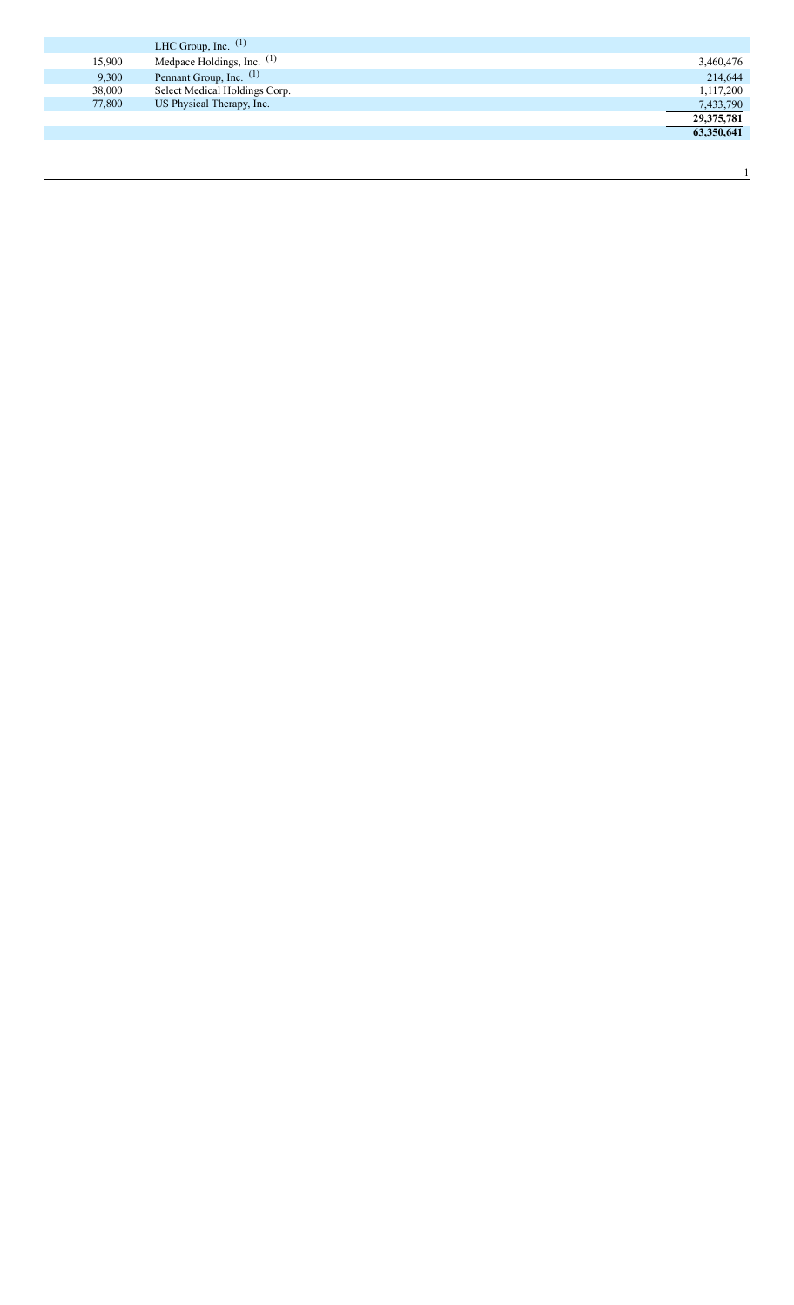|        | LHC Group, Inc. $(1)$         |            |
|--------|-------------------------------|------------|
| 15,900 | Medpace Holdings, Inc. $(1)$  | 3,460,476  |
| 9,300  | Pennant Group, Inc. (1)       | 214,644    |
| 38,000 | Select Medical Holdings Corp. | 1,117,200  |
| 77,800 | US Physical Therapy, Inc.     | 7,433,790  |
|        |                               | 29,375,781 |
|        |                               | 63,350,641 |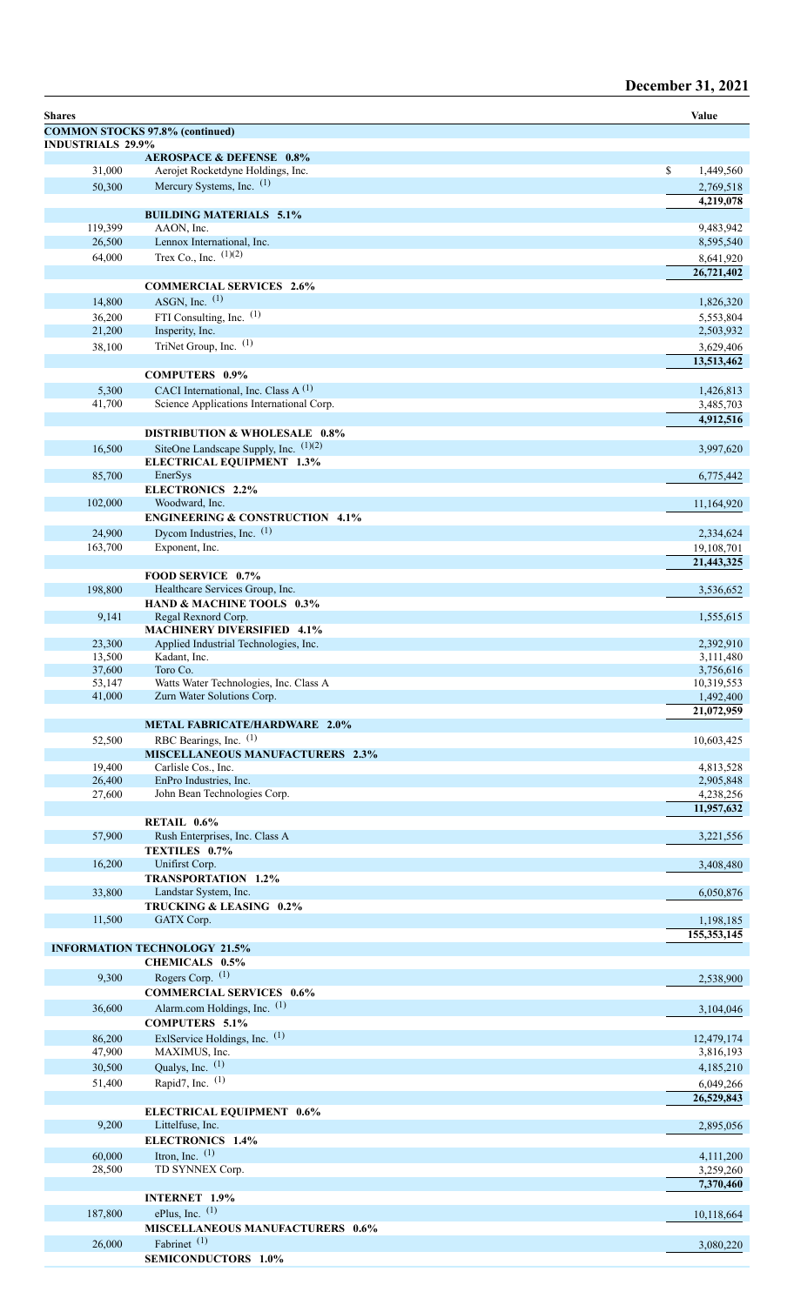## December 31, 2021

| <b>Shares</b>            |                                                                          | Value                   |
|--------------------------|--------------------------------------------------------------------------|-------------------------|
|                          | <b>COMMON STOCKS 97.8% (continued)</b>                                   |                         |
| <b>INDUSTRIALS 29.9%</b> |                                                                          |                         |
| 31,000                   | <b>AEROSPACE &amp; DEFENSE 0.8%</b><br>Aerojet Rocketdyne Holdings, Inc. | \$<br>1,449,560         |
| 50,300                   | Mercury Systems, Inc. (1)                                                | 2,769,518               |
|                          |                                                                          | 4,219,078               |
|                          | <b>BUILDING MATERIALS 5.1%</b>                                           |                         |
| 119,399                  | AAON, Inc.                                                               | 9,483,942               |
| 26,500<br>64,000         | Lennox International, Inc.<br>Trex Co., Inc. $(1)(2)$                    | 8,595,540               |
|                          |                                                                          | 8,641,920<br>26,721,402 |
|                          | <b>COMMERCIAL SERVICES 2.6%</b>                                          |                         |
| 14,800                   | ASGN, Inc. $(1)$                                                         | 1,826,320               |
| 36,200                   | FTI Consulting, Inc. (1)                                                 | 5,553,804               |
| 21,200                   | Insperity, Inc.                                                          | 2,503,932               |
| 38,100                   | TriNet Group, Inc. $(1)$                                                 | 3,629,406               |
|                          |                                                                          | 13,513,462              |
| 5,300                    | <b>COMPUTERS 0.9%</b><br>CACI International, Inc. Class A <sup>(1)</sup> | 1,426,813               |
| 41,700                   | Science Applications International Corp.                                 | 3,485,703               |
|                          |                                                                          | 4,912,516               |
|                          | <b>DISTRIBUTION &amp; WHOLESALE 0.8%</b>                                 |                         |
| 16,500                   | SiteOne Landscape Supply, Inc. $(1)(2)$                                  | 3,997,620               |
|                          | <b>ELECTRICAL EQUIPMENT 1.3%</b>                                         |                         |
| 85,700                   | EnerSys<br><b>ELECTRONICS 2.2%</b>                                       | 6,775,442               |
| 102,000                  | Woodward, Inc.                                                           | 11,164,920              |
|                          | <b>ENGINEERING &amp; CONSTRUCTION 4.1%</b>                               |                         |
| 24,900                   | Dycom Industries, Inc. (1)                                               | 2,334,624               |
| 163,700                  | Exponent, Inc.                                                           | 19,108,701              |
|                          | FOOD SERVICE 0.7%                                                        | 21,443,325              |
| 198,800                  | Healthcare Services Group, Inc.                                          | 3,536,652               |
|                          | HAND & MACHINE TOOLS 0.3%                                                |                         |
| 9,141                    | Regal Rexnord Corp.                                                      | 1,555,615               |
|                          | <b>MACHINERY DIVERSIFIED 4.1%</b>                                        |                         |
| 23,300<br>13,500         | Applied Industrial Technologies, Inc.<br>Kadant, Inc.                    | 2,392,910<br>3,111,480  |
| 37,600                   | Toro Co.                                                                 | 3,756,616               |
| 53,147                   | Watts Water Technologies, Inc. Class A                                   | 10,319,553              |
| 41,000                   | Zurn Water Solutions Corp.                                               | 1,492,400               |
|                          | <b>METAL FABRICATE/HARDWARE 2.0%</b>                                     | 21,072,959              |
| 52,500                   | RBC Bearings, Inc. (1)                                                   | 10,603,425              |
|                          | <b>MISCELLANEOUS MANUFACTURERS 2.3%</b>                                  |                         |
| 19,400                   | Carlisle Cos., Inc.                                                      | 4,813,528               |
| 26,400<br>27,600         | EnPro Industries, Inc.<br>John Bean Technologies Corp.                   | 2,905,848<br>4,238,256  |
|                          |                                                                          | 11,957,632              |
|                          | RETAIL 0.6%                                                              |                         |
| 57,900                   | Rush Enterprises, Inc. Class A                                           | 3,221,556               |
|                          | TEXTILES 0.7%                                                            |                         |
| 16,200                   | Unifirst Corp.<br><b>TRANSPORTATION 1.2%</b>                             | 3,408,480               |
| 33,800                   | Landstar System, Inc.                                                    | 6,050,876               |
|                          | TRUCKING & LEASING 0.2%                                                  |                         |
| 11,500                   | GATX Corp.                                                               | 1,198,185               |
|                          |                                                                          | 155, 353, 145           |
|                          | <b>INFORMATION TECHNOLOGY 21.5%</b><br><b>CHEMICALS 0.5%</b>             |                         |
| 9,300                    | Rogers Corp. (1)                                                         | 2,538,900               |
|                          | <b>COMMERCIAL SERVICES 0.6%</b>                                          |                         |
| 36,600                   | Alarm.com Holdings, Inc. (1)                                             | 3,104,046               |
|                          | <b>COMPUTERS 5.1%</b>                                                    |                         |
| 86,200                   | ExlService Holdings, Inc. (1)                                            | 12,479,174              |
| 47,900                   | MAXIMUS, Inc.                                                            | 3,816,193               |
| 30,500                   | Qualys, Inc. $(1)$<br>Rapid7, Inc. $(1)$                                 | 4,185,210               |
| 51,400                   |                                                                          | 6,049,266<br>26,529,843 |
|                          | <b>ELECTRICAL EQUIPMENT 0.6%</b>                                         |                         |
| 9,200                    | Littelfuse, Inc.                                                         | 2,895,056               |
|                          | ELECTRONICS 1.4%                                                         |                         |
| 60,000                   | Itron, Inc. $(1)$                                                        | 4,111,200               |
| 28,500                   | TD SYNNEX Corp.                                                          | 3,259,260<br>7,370,460  |
|                          | <b>INTERNET 1.9%</b>                                                     |                         |
| 187,800                  | ePlus, Inc. $(1)$                                                        | 10,118,664              |
|                          | <b>MISCELLANEOUS MANUFACTURERS 0.6%</b>                                  |                         |
| 26,000                   | Fabrinet <sup>(1)</sup>                                                  | 3,080,220               |
|                          | <b>SEMICONDUCTORS 1.0%</b>                                               |                         |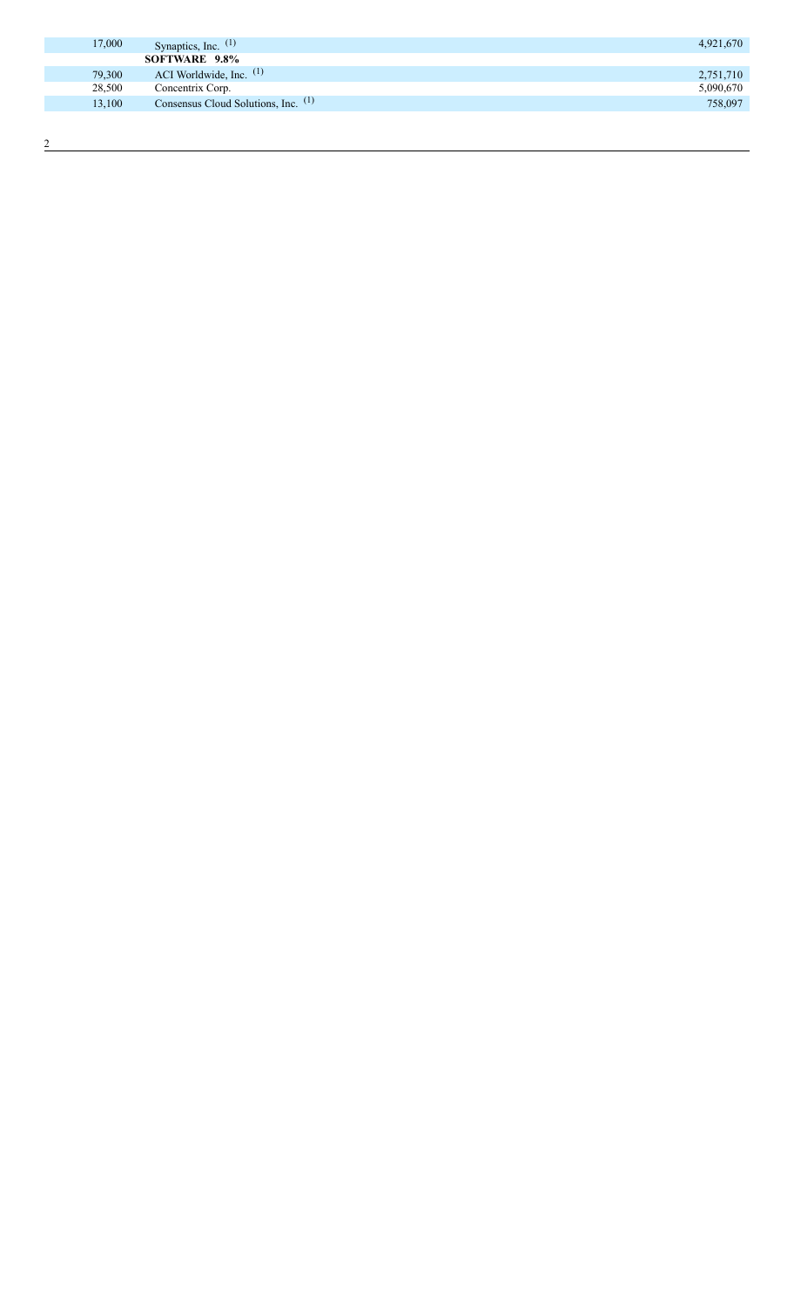| 17,000 | Synaptics, Inc. $(1)$               | 4,921,670 |
|--------|-------------------------------------|-----------|
|        | SOFTWARE 9.8%                       |           |
| 79,300 | ACI Worldwide, Inc. $(1)$           | 2,751,710 |
| 28,500 | Concentrix Corp.                    | 5,090,670 |
| 13,100 | Consensus Cloud Solutions, Inc. (1) | 758,097   |
|        |                                     |           |

 $\frac{2}{2}$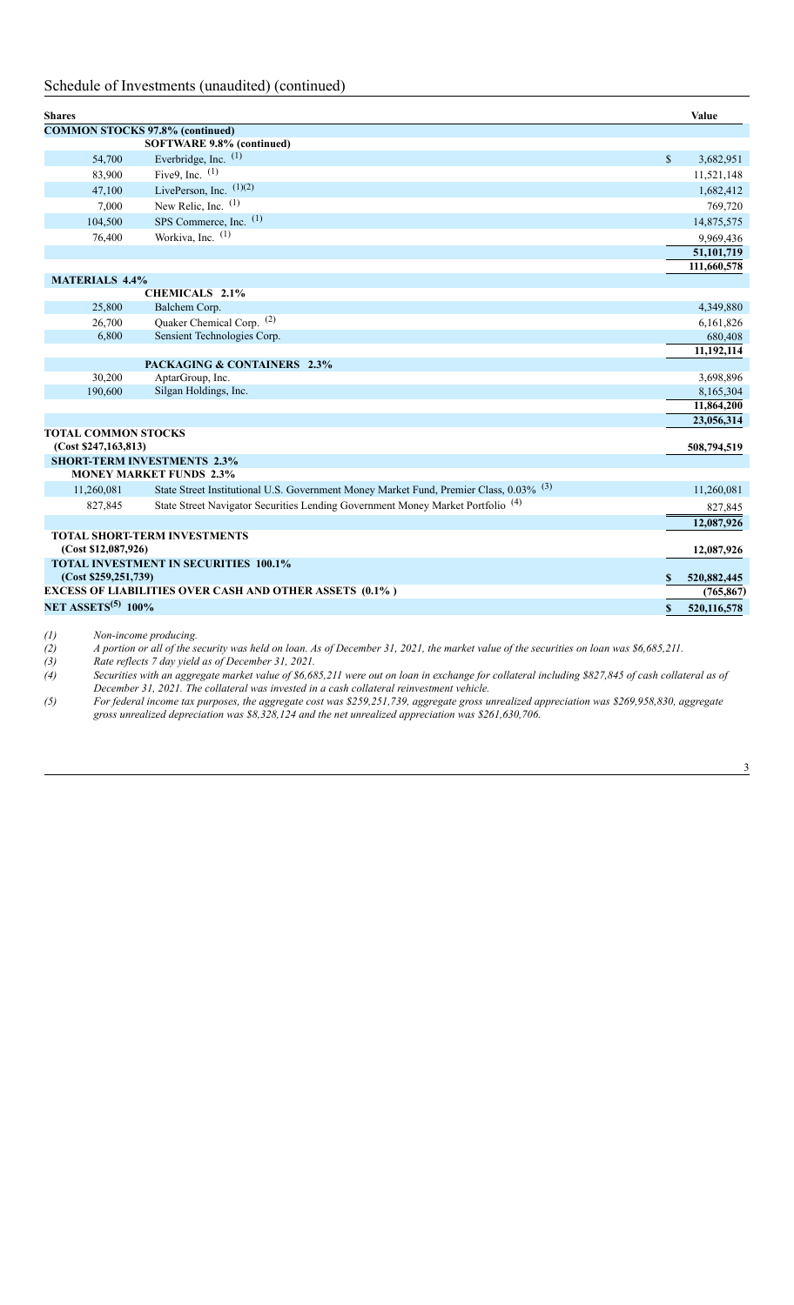## Schedule of Investments (unaudited) (continued)

| <b>Shares</b>                                      |                                                                                        |                                                                                            |              | Value                   |  |  |  |
|----------------------------------------------------|----------------------------------------------------------------------------------------|--------------------------------------------------------------------------------------------|--------------|-------------------------|--|--|--|
| <b>COMMON STOCKS 97.8% (continued)</b>             |                                                                                        |                                                                                            |              |                         |  |  |  |
| SOFTWARE 9.8% (continued)                          |                                                                                        |                                                                                            |              |                         |  |  |  |
|                                                    | 54,700                                                                                 | Everbridge, Inc. (1)                                                                       | $\mathbb{S}$ | 3,682,951               |  |  |  |
|                                                    | 83,900                                                                                 | Five9, Inc. $(1)$                                                                          |              | 11,521,148              |  |  |  |
|                                                    | 47,100                                                                                 | LivePerson, Inc. $(1)(2)$                                                                  |              | 1,682,412               |  |  |  |
|                                                    | 7,000                                                                                  | New Relic, Inc. (1)                                                                        |              | 769,720                 |  |  |  |
|                                                    | 104,500                                                                                | SPS Commerce, Inc. (1)                                                                     |              | 14,875,575              |  |  |  |
|                                                    | 76,400                                                                                 | Workiva, Inc. $(1)$                                                                        |              | 9,969,436               |  |  |  |
|                                                    |                                                                                        |                                                                                            |              | 51,101,719              |  |  |  |
|                                                    |                                                                                        |                                                                                            |              | 111,660,578             |  |  |  |
|                                                    | <b>MATERIALS 4.4%</b>                                                                  |                                                                                            |              |                         |  |  |  |
|                                                    |                                                                                        | <b>CHEMICALS 2.1%</b>                                                                      |              |                         |  |  |  |
|                                                    | 25,800                                                                                 | Balchem Corp.                                                                              |              | 4,349,880               |  |  |  |
|                                                    | 26,700                                                                                 | Quaker Chemical Corp. (2)                                                                  |              | 6,161,826               |  |  |  |
|                                                    | 6,800                                                                                  | Sensient Technologies Corp.                                                                |              | 680,408                 |  |  |  |
|                                                    |                                                                                        |                                                                                            |              | 11,192,114              |  |  |  |
|                                                    |                                                                                        | PACKAGING & CONTAINERS 2.3%                                                                |              |                         |  |  |  |
|                                                    | 30,200<br>190,600                                                                      | AptarGroup, Inc.<br>Silgan Holdings, Inc.                                                  |              | 3,698,896               |  |  |  |
|                                                    |                                                                                        |                                                                                            |              | 8,165,304<br>11,864,200 |  |  |  |
|                                                    |                                                                                        |                                                                                            |              | 23,056,314              |  |  |  |
|                                                    | <b>TOTAL COMMON STOCKS</b>                                                             |                                                                                            |              |                         |  |  |  |
|                                                    | (Cost \$247,163,813)                                                                   |                                                                                            |              | 508,794,519             |  |  |  |
|                                                    |                                                                                        | <b>SHORT-TERM INVESTMENTS 2.3%</b>                                                         |              |                         |  |  |  |
|                                                    |                                                                                        | <b>MONEY MARKET FUNDS 2.3%</b>                                                             |              |                         |  |  |  |
|                                                    | 11,260,081                                                                             | State Street Institutional U.S. Government Money Market Fund, Premier Class, 0.03% (3)     |              | 11,260,081              |  |  |  |
|                                                    | 827,845                                                                                | State Street Navigator Securities Lending Government Money Market Portfolio <sup>(4)</sup> |              | 827,845                 |  |  |  |
|                                                    |                                                                                        |                                                                                            |              | 12,087,926              |  |  |  |
|                                                    |                                                                                        | <b>TOTAL SHORT-TERM INVESTMENTS</b>                                                        |              | 12,087,926              |  |  |  |
|                                                    | (Cost \$12,087,926)                                                                    |                                                                                            |              |                         |  |  |  |
| <b>TOTAL INVESTMENT IN SECURITIES 100.1%</b><br>S. |                                                                                        |                                                                                            |              | 520,882,445             |  |  |  |
|                                                    | (Cost \$259,251,739)<br><b>EXCESS OF LIABILITIES OVER CASH AND OTHER ASSETS (0.1%)</b> |                                                                                            |              |                         |  |  |  |
|                                                    | <b>NET ASSETS<sup>(5)</sup> 100%</b>                                                   |                                                                                            |              | (765, 867)              |  |  |  |
|                                                    |                                                                                        |                                                                                            | \$           | 520,116,578             |  |  |  |

*(1) Non-income producing.* A portion or all of the security was held on loan. As of December 31, 2021, the market value of the securities on loan was \$6,685,211.

*(3) Rate reflects 7 day yield as of December 31, 2021.*

(4) Securities with an aggregate market value of \$6,685,211 were out on loan in exchange for collateral including \$827,845 of cash collateral as of *December 31, 2021. The collateral was invested in a cash collateral reinvestment vehicle.*

(5) For federal income tax purposes, the aggregate cost was \$259,251,739, aggregate gross unrealized appreciation was \$269,958,830, aggregate *gross unrealized depreciation was \$8,328,124 and the net unrealized appreciation was \$261,630,706.*